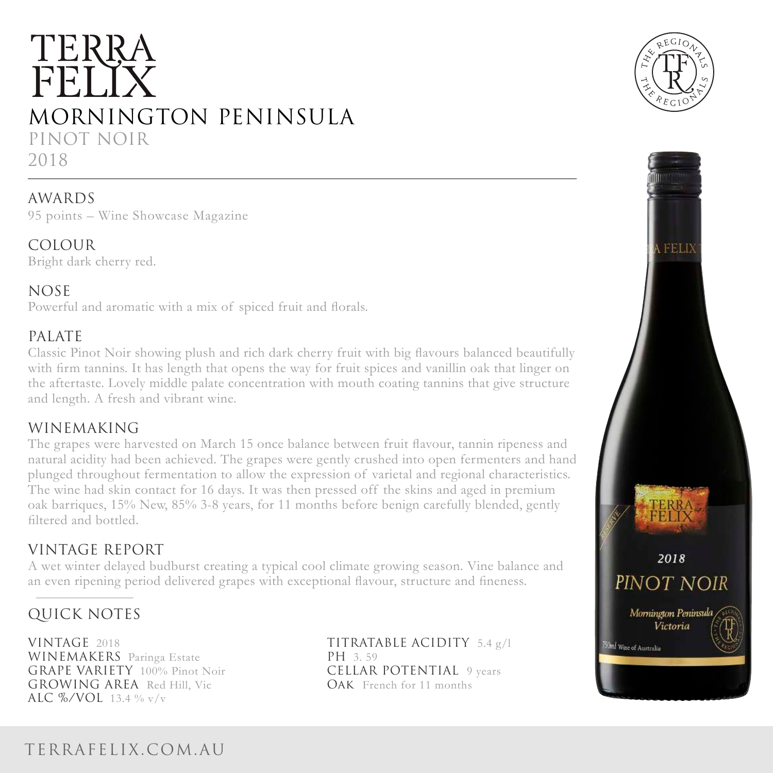# TERRA FELIY MORNINGTON PENINSULA PINOT NOIR 2018

### AWARDS

95 points – Wine Showcase Magazine

#### COLOUR

Bright dark cherry red.

### NOSE

Powerful and aromatic with a mix of spiced fruit and florals.

### PALATE

Classic Pinot Noir showing plush and rich dark cherry fruit with big flavours balanced beautifully with firm tannins. It has length that opens the way for fruit spices and vanillin oak that linger on the aftertaste. Lovely middle palate concentration with mouth coating tannins that give structure and length. A fresh and vibrant wine.

### WINEMAKING

The grapes were harvested on March 15 once balance between fruit flavour, tannin ripeness and natural acidity had been achieved. The grapes were gently crushed into open fermenters and hand plunged throughout fermentation to allow the expression of varietal and regional characteristics. The wine had skin contact for 16 days. It was then pressed off the skins and aged in premium oak barriques, 15% New, 85% 3-8 years, for 11 months before benign carefully blended, gently filtered and bottled.

### VINTAGE REPORT

A wet winter delayed budburst creating a typical cool climate growing season. Vine balance and an even ripening period delivered grapes with exceptional flavour, structure and fineness.

### QUICK NOTES

VINTAGE 2018 **TITRATABLE ACIDITY** 5.4 g/l WINEMAKERS Paringa Estate PH 3.59 GRAPE VARIETY 100% Pinot Noir **CELLAR POTENTIAL** 9 years GROWING AREA Red Hill, Vic **OAK** French for 11 months ALC %/VOL 13.4 % v/v





## TERRAFELIX.COM.AU